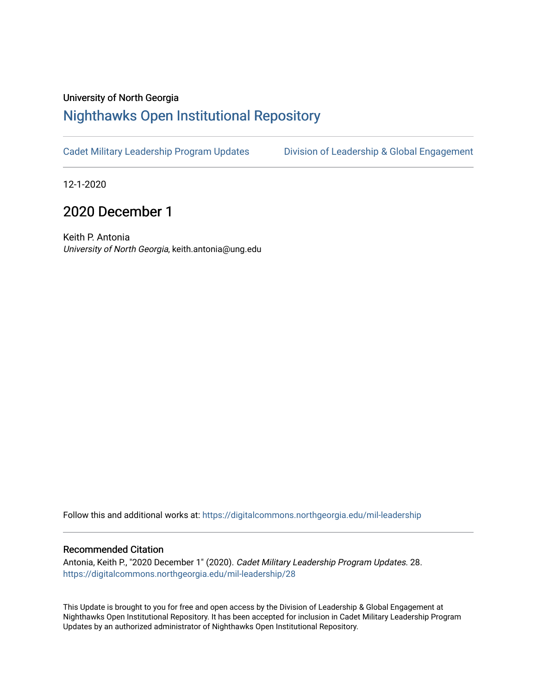## University of North Georgia

# [Nighthawks Open Institutional Repository](https://digitalcommons.northgeorgia.edu/)

[Cadet Military Leadership Program Updates](https://digitalcommons.northgeorgia.edu/mil-leadership) [Division of Leadership & Global Engagement](https://digitalcommons.northgeorgia.edu/leadership) 

12-1-2020

# 2020 December 1

Keith P. Antonia University of North Georgia, keith.antonia@ung.edu

Follow this and additional works at: [https://digitalcommons.northgeorgia.edu/mil-leadership](https://digitalcommons.northgeorgia.edu/mil-leadership?utm_source=digitalcommons.northgeorgia.edu%2Fmil-leadership%2F28&utm_medium=PDF&utm_campaign=PDFCoverPages) 

#### Recommended Citation

Antonia, Keith P., "2020 December 1" (2020). Cadet Military Leadership Program Updates. 28. [https://digitalcommons.northgeorgia.edu/mil-leadership/28](https://digitalcommons.northgeorgia.edu/mil-leadership/28?utm_source=digitalcommons.northgeorgia.edu%2Fmil-leadership%2F28&utm_medium=PDF&utm_campaign=PDFCoverPages)

This Update is brought to you for free and open access by the Division of Leadership & Global Engagement at Nighthawks Open Institutional Repository. It has been accepted for inclusion in Cadet Military Leadership Program Updates by an authorized administrator of Nighthawks Open Institutional Repository.